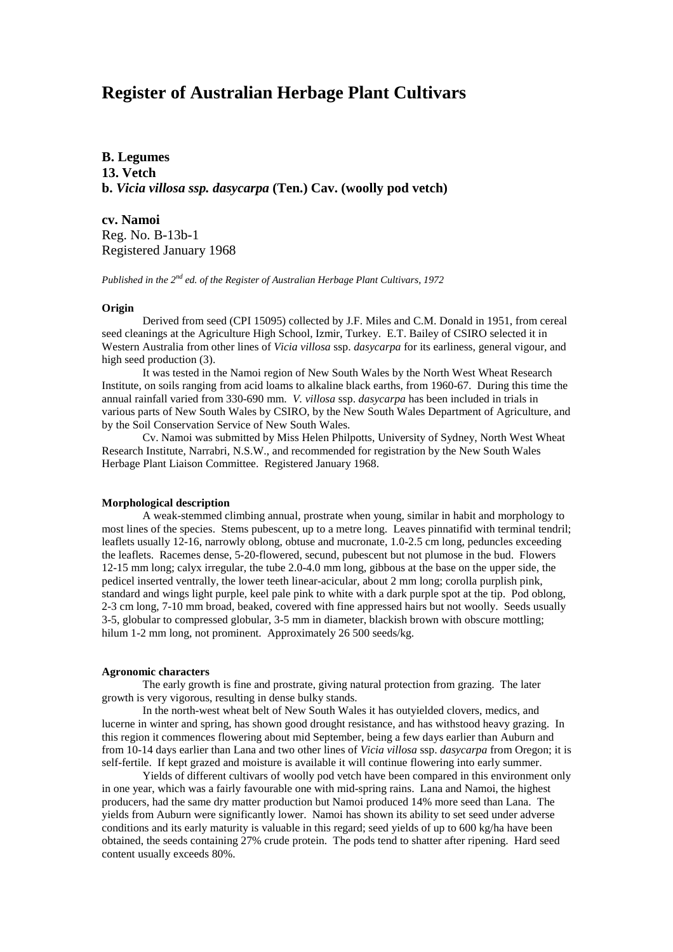# **Register of Australian Herbage Plant Cultivars**

**B. Legumes 13. Vetch b.** *Vicia villosa ssp. dasycarpa* **(Ten.) Cav. (woolly pod vetch)**

**cv. Namoi** Reg. No. B-13b-1 Registered January 1968

*Published in the 2nd ed. of the Register of Australian Herbage Plant Cultivars, 1972*

#### **Origin**

Derived from seed (CPI 15095) collected by J.F. Miles and C.M. Donald in 1951, from cereal seed cleanings at the Agriculture High School, Izmir, Turkey. E.T. Bailey of CSIRO selected it in Western Australia from other lines of *Vicia villosa* ssp. *dasycarpa* for its earliness, general vigour, and high seed production (3).

It was tested in the Namoi region of New South Wales by the North West Wheat Research Institute, on soils ranging from acid loams to alkaline black earths, from 1960-67. During this time the annual rainfall varied from 330-690 mm. *V. villosa* ssp. *dasycarpa* has been included in trials in various parts of New South Wales by CSIRO, by the New South Wales Department of Agriculture, and by the Soil Conservation Service of New South Wales.

Cv. Namoi was submitted by Miss Helen Philpotts, University of Sydney, North West Wheat Research Institute, Narrabri, N.S.W., and recommended for registration by the New South Wales Herbage Plant Liaison Committee. Registered January 1968.

## **Morphological description**

A weak-stemmed climbing annual, prostrate when young, similar in habit and morphology to most lines of the species. Stems pubescent, up to a metre long. Leaves pinnatifid with terminal tendril; leaflets usually 12-16, narrowly oblong, obtuse and mucronate, 1.0-2.5 cm long, peduncles exceeding the leaflets. Racemes dense, 5-20-flowered, secund, pubescent but not plumose in the bud. Flowers 12-15 mm long; calyx irregular, the tube 2.0-4.0 mm long, gibbous at the base on the upper side, the pedicel inserted ventrally, the lower teeth linear-acicular, about 2 mm long; corolla purplish pink, standard and wings light purple, keel pale pink to white with a dark purple spot at the tip. Pod oblong, 2-3 cm long, 7-10 mm broad, beaked, covered with fine appressed hairs but not woolly. Seeds usually 3-5, globular to compressed globular, 3-5 mm in diameter, blackish brown with obscure mottling; hilum 1-2 mm long, not prominent. Approximately 26 500 seeds/kg.

#### **Agronomic characters**

The early growth is fine and prostrate, giving natural protection from grazing. The later growth is very vigorous, resulting in dense bulky stands.

In the north-west wheat belt of New South Wales it has outyielded clovers, medics, and lucerne in winter and spring, has shown good drought resistance, and has withstood heavy grazing. In this region it commences flowering about mid September, being a few days earlier than Auburn and from 10-14 days earlier than Lana and two other lines of *Vicia villosa* ssp. *dasycarpa* from Oregon; it is self-fertile. If kept grazed and moisture is available it will continue flowering into early summer.

Yields of different cultivars of woolly pod vetch have been compared in this environment only in one year, which was a fairly favourable one with mid-spring rains. Lana and Namoi, the highest producers, had the same dry matter production but Namoi produced 14% more seed than Lana. The yields from Auburn were significantly lower. Namoi has shown its ability to set seed under adverse conditions and its early maturity is valuable in this regard; seed yields of up to 600 kg/ha have been obtained, the seeds containing 27% crude protein. The pods tend to shatter after ripening. Hard seed content usually exceeds 80%.